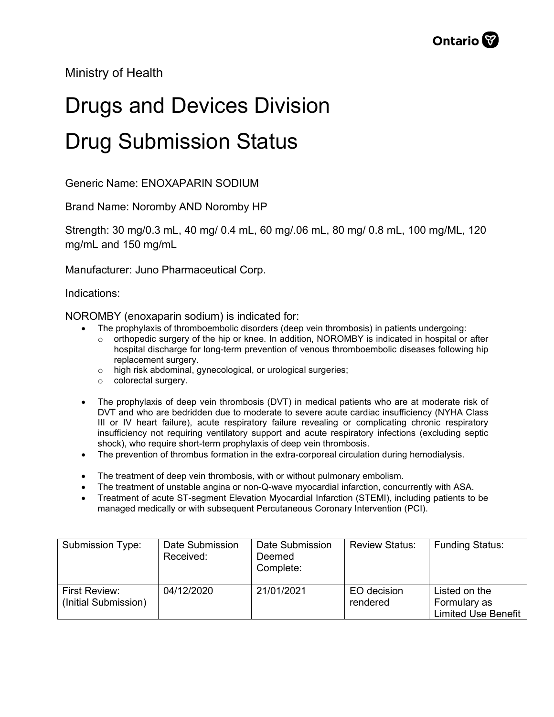Ministry of Health

## Drugs and Devices Division Drug Submission Status

Generic Name: ENOXAPARIN SODIUM

Brand Name: Noromby AND Noromby HP

Strength: 30 mg/0.3 mL, 40 mg/ 0.4 mL, 60 mg/.06 mL, 80 mg/ 0.8 mL, 100 mg/ML, 120 mg/mL and 150 mg/mL

Manufacturer: Juno Pharmaceutical Corp.

Indications:

NOROMBY (enoxaparin sodium) is indicated for:

- The prophylaxis of thromboembolic disorders (deep vein thrombosis) in patients undergoing:
	- o orthopedic surgery of the hip or knee. In addition, NOROMBY is indicated in hospital or after hospital discharge for long-term prevention of venous thromboembolic diseases following hip replacement surgery.
	- o high risk abdominal, gynecological, or urological surgeries;
	- o colorectal surgery.
- The prophylaxis of deep vein thrombosis (DVT) in medical patients who are at moderate risk of DVT and who are bedridden due to moderate to severe acute cardiac insufficiency (NYHA Class III or IV heart failure), acute respiratory failure revealing or complicating chronic respiratory insufficiency not requiring ventilatory support and acute respiratory infections (excluding septic shock), who require short-term prophylaxis of deep vein thrombosis.
- The prevention of thrombus formation in the extra-corporeal circulation during hemodialysis.
- The treatment of deep vein thrombosis, with or without pulmonary embolism.
- The treatment of unstable angina or non-Q-wave myocardial infarction, concurrently with ASA.
- Treatment of acute ST-segment Elevation Myocardial Infarction (STEMI), including patients to be managed medically or with subsequent Percutaneous Coronary Intervention (PCI).

| Submission Type:                      | Date Submission<br>Received: | Date Submission<br>Deemed<br>Complete: | <b>Review Status:</b>   | <b>Funding Status:</b>                                      |
|---------------------------------------|------------------------------|----------------------------------------|-------------------------|-------------------------------------------------------------|
| First Review:<br>(Initial Submission) | 04/12/2020                   | 21/01/2021                             | EO decision<br>rendered | Listed on the<br>Formulary as<br><b>Limited Use Benefit</b> |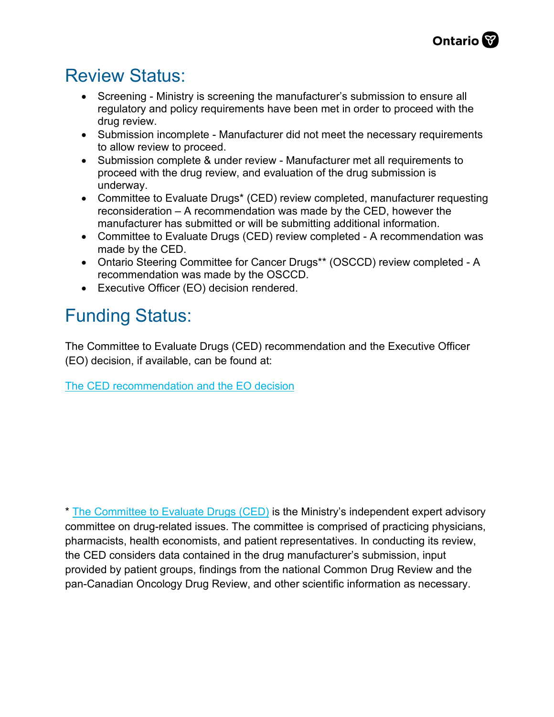## Review Status:

- Screening Ministry is screening the manufacturer's submission to ensure all regulatory and policy requirements have been met in order to proceed with the drug review.
- Submission incomplete Manufacturer did not meet the necessary requirements to allow review to proceed.
- Submission complete & under review Manufacturer met all requirements to proceed with the drug review, and evaluation of the drug submission is underway.
- Committee to Evaluate Drugs\* (CED) review completed, manufacturer requesting reconsideration – A recommendation was made by the CED, however the manufacturer has submitted or will be submitting additional information.
- Committee to Evaluate Drugs (CED) review completed A recommendation was made by the CED.
- Ontario Steering Committee for Cancer Drugs\*\* (OSCCD) review completed A recommendation was made by the OSCCD.
- Executive Officer (EO) decision rendered.

## Funding Status:

The Committee to Evaluate Drugs (CED) recommendation and the Executive Officer (EO) decision, if available, can be found at:

[The CED recommendation and the EO decision](http://www.health.gov.on.ca/en/pro/programs/drugs/ced_rec_table.aspx)

\* [The Committee to Evaluate Drugs \(CED\)](http://www.health.gov.on.ca/en/pro/programs/drugs/how_drugs_approv/funding_ced.aspx) is the Ministry's independent expert advisory committee on drug-related issues. The committee is comprised of practicing physicians, pharmacists, health economists, and patient representatives. In conducting its review, the CED considers data contained in the drug manufacturer's submission, input provided by patient groups, findings from the national Common Drug Review and the pan-Canadian Oncology Drug Review, and other scientific information as necessary.